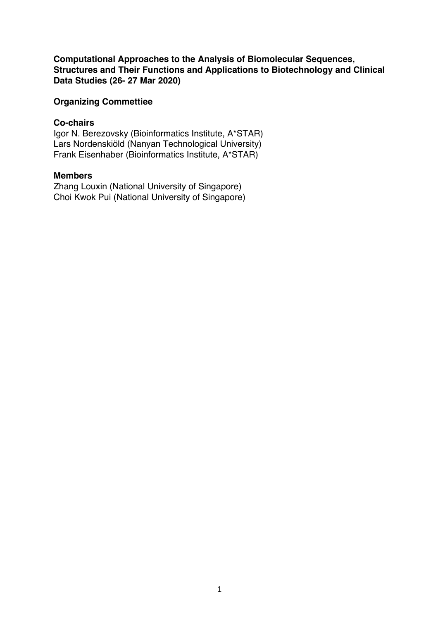**Computational Approaches to the Analysis of Biomolecular Sequences, Structures and Their Functions and Applications to Biotechnology and Clinical Data Studies (26- 27 Mar 2020)**

## **Organizing Commettiee**

## **Co-chairs**

Igor N. Berezovsky (Bioinformatics Institute, A\*STAR) Lars Nordenskiöld (Nanyan Technological University) Frank Eisenhaber (Bioinformatics Institute, A\*STAR)

# **Members**

Zhang Louxin (National University of Singapore) Choi Kwok Pui (National University of Singapore)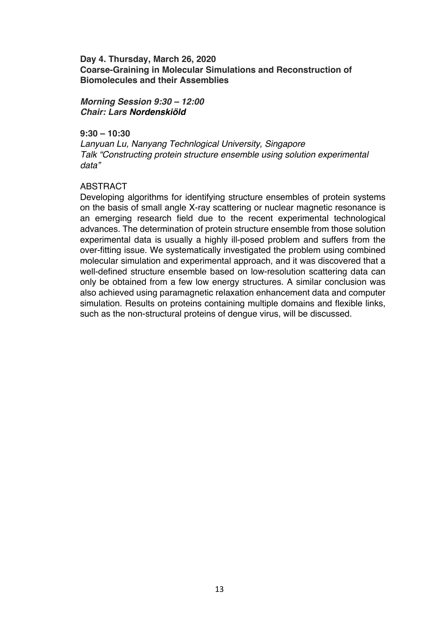**Day 4. Thursday, March 26, 2020 Coarse-Graining in Molecular Simulations and Reconstruction of Biomolecules and their Assemblies**

*Morning Session 9:30 – 12:00 Chair: Lars Nordenskiöld*

**9:30 – 10:30**

*Lanyuan Lu, Nanyang Technlogical University, Singapore Talk "Constructing protein structure ensemble using solution experimental data"*

## ABSTRACT

Developing algorithms for identifying structure ensembles of protein systems on the basis of small angle X-ray scattering or nuclear magnetic resonance is an emerging research field due to the recent experimental technological advances. The determination of protein structure ensemble from those solution experimental data is usually a highly ill-posed problem and suffers from the over-fitting issue. We systematically investigated the problem using combined molecular simulation and experimental approach, and it was discovered that a well-defined structure ensemble based on low-resolution scattering data can only be obtained from a few low energy structures. A similar conclusion was also achieved using paramagnetic relaxation enhancement data and computer simulation. Results on proteins containing multiple domains and flexible links, such as the non-structural proteins of dengue virus, will be discussed.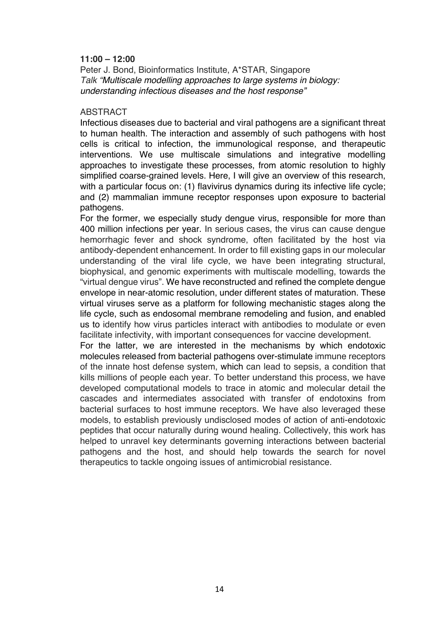## **11:00 – 12:00**

Peter J. Bond, Bioinformatics Institute, A\*STAR, Singapore *Talk "Multiscale modelling approaches to large systems in biology: understanding infectious diseases and the host response"*

### ABSTRACT

Infectious diseases due to bacterial and viral pathogens are a significant threat to human health. The interaction and assembly of such pathogens with host cells is critical to infection, the immunological response, and therapeutic interventions. We use multiscale simulations and integrative modelling approaches to investigate these processes, from atomic resolution to highly simplified coarse-grained levels. Here, I will give an overview of this research, with a particular focus on: (1) flavivirus dynamics during its infective life cycle; and (2) mammalian immune receptor responses upon exposure to bacterial pathogens.

For the former, we especially study dengue virus, responsible for more than 400 million infections per year. In serious cases, the virus can cause dengue hemorrhagic fever and shock syndrome, often facilitated by the host via antibody-dependent enhancement. In order to fill existing gaps in our molecular understanding of the viral life cycle, we have been integrating structural, biophysical, and genomic experiments with multiscale modelling, towards the "virtual dengue virus". We have reconstructed and refined the complete dengue envelope in near-atomic resolution, under different states of maturation. These virtual viruses serve as a platform for following mechanistic stages along the life cycle, such as endosomal membrane remodeling and fusion, and enabled us to identify how virus particles interact with antibodies to modulate or even facilitate infectivity, with important consequences for vaccine development.

For the latter, we are interested in the mechanisms by which endotoxic molecules released from bacterial pathogens over-stimulate immune receptors of the innate host defense system, which can lead to sepsis, a condition that kills millions of people each year. To better understand this process, we have developed computational models to trace in atomic and molecular detail the cascades and intermediates associated with transfer of endotoxins from bacterial surfaces to host immune receptors. We have also leveraged these models, to establish previously undisclosed modes of action of anti-endotoxic peptides that occur naturally during wound healing. Collectively, this work has helped to unravel key determinants governing interactions between bacterial pathogens and the host, and should help towards the search for novel therapeutics to tackle ongoing issues of antimicrobial resistance.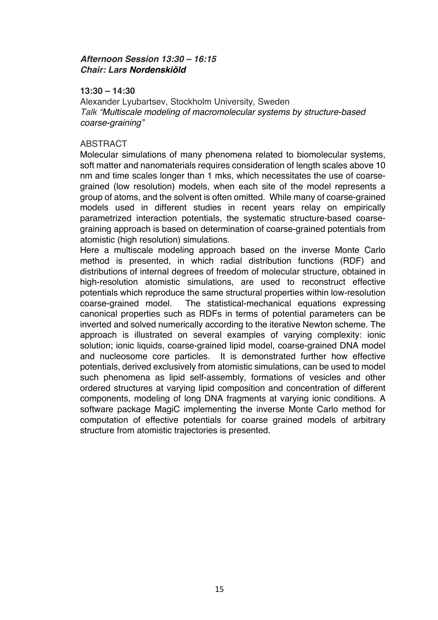# *Afternoon Session 13:30 – 16:15 Chair: Lars Nordenskiöld*

## **13:30 – 14:30**

Alexander Lyubartsev, Stockholm University, Sweden *Talk "Multiscale modeling of macromolecular systems by structure-based coarse-graining"*

## ABSTRACT

Molecular simulations of many phenomena related to biomolecular systems, soft matter and nanomaterials requires consideration of length scales above 10 nm and time scales longer than 1 mks, which necessitates the use of coarsegrained (low resolution) models, when each site of the model represents a group of atoms, and the solvent is often omitted. While many of coarse-grained models used in different studies in recent years relay on empirically parametrized interaction potentials, the systematic structure-based coarsegraining approach is based on determination of coarse-grained potentials from atomistic (high resolution) simulations.

Here a multiscale modeling approach based on the inverse Monte Carlo method is presented, in which radial distribution functions (RDF) and distributions of internal degrees of freedom of molecular structure, obtained in high-resolution atomistic simulations, are used to reconstruct effective potentials which reproduce the same structural properties within low-resolution coarse-grained model. The statistical-mechanical equations expressing canonical properties such as RDFs in terms of potential parameters can be inverted and solved numerically according to the iterative Newton scheme. The approach is illustrated on several examples of varying complexity: ionic solution; ionic liquids, coarse-grained lipid model, coarse-grained DNA model and nucleosome core particles. It is demonstrated further how effective potentials, derived exclusively from atomistic simulations, can be used to model such phenomena as lipid self-assembly, formations of vesicles and other ordered structures at varying lipid composition and concentration of different components, modeling of long DNA fragments at varying ionic conditions. A software package MagiC implementing the inverse Monte Carlo method for computation of effective potentials for coarse grained models of arbitrary structure from atomistic trajectories is presented.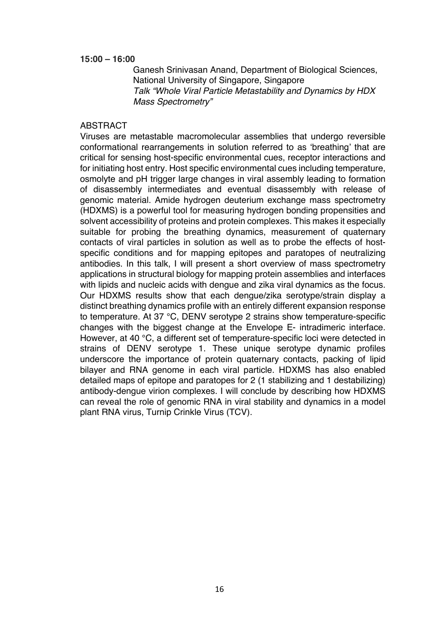Ganesh Srinivasan Anand, Department of Biological Sciences, National University of Singapore, Singapore *Talk "Whole Viral Particle Metastability and Dynamics by HDX Mass Spectrometry"*

#### ABSTRACT

Viruses are metastable macromolecular assemblies that undergo reversible conformational rearrangements in solution referred to as 'breathing' that are critical for sensing host-specific environmental cues, receptor interactions and for initiating host entry. Host specific environmental cues including temperature, osmolyte and pH trigger large changes in viral assembly leading to formation of disassembly intermediates and eventual disassembly with release of genomic material. Amide hydrogen deuterium exchange mass spectrometry (HDXMS) is a powerful tool for measuring hydrogen bonding propensities and solvent accessibility of proteins and protein complexes. This makes it especially suitable for probing the breathing dynamics, measurement of quaternary contacts of viral particles in solution as well as to probe the effects of hostspecific conditions and for mapping epitopes and paratopes of neutralizing antibodies. In this talk, I will present a short overview of mass spectrometry applications in structural biology for mapping protein assemblies and interfaces with lipids and nucleic acids with dengue and zika viral dynamics as the focus. Our HDXMS results show that each dengue/zika serotype/strain display a distinct breathing dynamics profile with an entirely different expansion response to temperature. At 37 °C, DENV serotype 2 strains show temperature-specific changes with the biggest change at the Envelope E- intradimeric interface. However, at 40 °C, a different set of temperature-specific loci were detected in strains of DENV serotype 1. These unique serotype dynamic profiles underscore the importance of protein quaternary contacts, packing of lipid bilayer and RNA genome in each viral particle. HDXMS has also enabled detailed maps of epitope and paratopes for 2 (1 stabilizing and 1 destabilizing) antibody-dengue virion complexes. I will conclude by describing how HDXMS can reveal the role of genomic RNA in viral stability and dynamics in a model plant RNA virus, Turnip Crinkle Virus (TCV).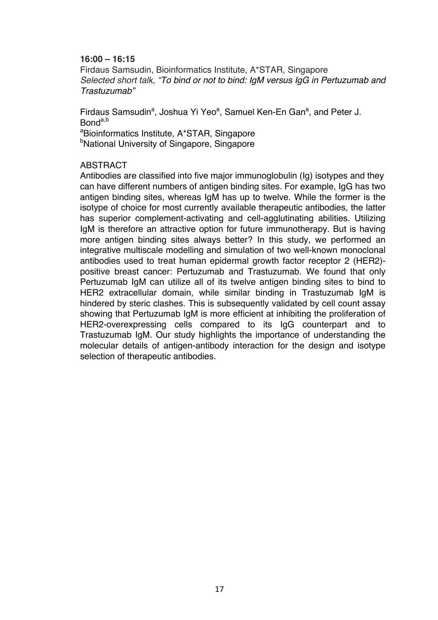Firdaus Samsudin, Bioinformatics Institute, A\*STAR, Singapore *Selected short talk, "To bind or not to bind: IgM versus IgG in Pertuzumab and Trastuzumab"*

Firdaus Samsudin<sup>a</sup>, Joshua Yi Yeo<sup>a</sup>, Samuel Ken-En Gan<sup>a</sup>, and Peter J. Bonda,b a Bioinformatics Institute, A\*STAR, Singapore <sup>b</sup>National University of Singapore, Singapore

## ABSTRACT

Antibodies are classified into five major immunoglobulin (Ig) isotypes and they can have different numbers of antigen binding sites. For example, IgG has two antigen binding sites, whereas IgM has up to twelve. While the former is the isotype of choice for most currently available therapeutic antibodies, the latter has superior complement-activating and cell-agglutinating abilities. Utilizing IgM is therefore an attractive option for future immunotherapy. But is having more antigen binding sites always better? In this study, we performed an integrative multiscale modelling and simulation of two well-known monoclonal antibodies used to treat human epidermal growth factor receptor 2 (HER2) positive breast cancer: Pertuzumab and Trastuzumab. We found that only Pertuzumab IgM can utilize all of its twelve antigen binding sites to bind to HER2 extracellular domain, while similar binding in Trastuzumab IgM is hindered by steric clashes. This is subsequently validated by cell count assay showing that Pertuzumab IgM is more efficient at inhibiting the proliferation of HER2-overexpressing cells compared to its IgG counterpart and to Trastuzumab IgM. Our study highlights the importance of understanding the molecular details of antigen-antibody interaction for the design and isotype selection of therapeutic antibodies.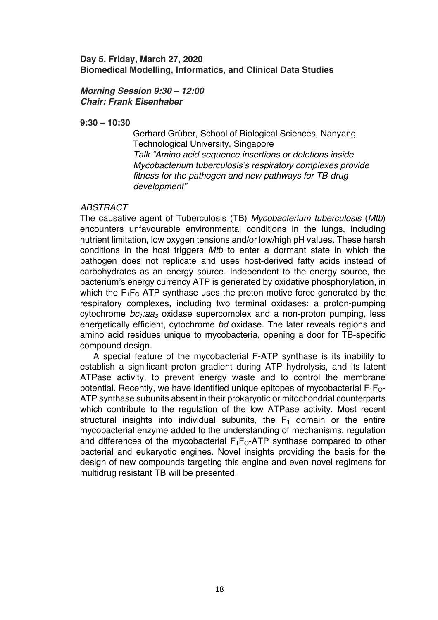## **Day 5. Friday, March 27, 2020 Biomedical Modelling, Informatics, and Clinical Data Studies**

## *Morning Session 9:30 – 12:00 Chair: Frank Eisenhaber*

**9:30 – 10:30**

Gerhard Grüber, School of Biological Sciences, Nanyang Technological University, Singapore *Talk "Amino acid sequence insertions or deletions inside Mycobacterium tuberculosis's respiratory complexes provide fitness for the pathogen and new pathways for TB-drug development"*

## *ABSTRACT*

The causative agent of Tuberculosis (TB) *Mycobacterium tuberculosis* (*Mtb*) encounters unfavourable environmental conditions in the lungs, including nutrient limitation, low oxygen tensions and/or low/high pH values. These harsh conditions in the host triggers *Mtb* to enter a dormant state in which the pathogen does not replicate and uses host-derived fatty acids instead of carbohydrates as an energy source. Independent to the energy source, the bacterium's energy currency ATP is generated by oxidative phosphorylation, in which the  $F_1F_0$ -ATP synthase uses the proton motive force generated by the respiratory complexes, including two terminal oxidases: a proton-pumping cytochrome *bc<sub>1</sub>:aa<sub>3</sub>* oxidase supercomplex and a non-proton pumping, less energetically efficient, cytochrome *bd* oxidase. The later reveals regions and amino acid residues unique to mycobacteria, opening a door for TB-specific compound design.

A special feature of the mycobacterial F-ATP synthase is its inability to establish a significant proton gradient during ATP hydrolysis, and its latent ATPase activity, to prevent energy waste and to control the membrane potential. Recently, we have identified unique epitopes of mycobacterial  $F_1F_{\Omega}$ -ATP synthase subunits absent in their prokaryotic or mitochondrial counterparts which contribute to the regulation of the low ATPase activity. Most recent structural insights into individual subunits, the  $F_1$  domain or the entire mycobacterial enzyme added to the understanding of mechanisms, regulation and differences of the mycobacterial  $F_1F_0$ -ATP synthase compared to other bacterial and eukaryotic engines. Novel insights providing the basis for the design of new compounds targeting this engine and even novel regimens for multidrug resistant TB will be presented.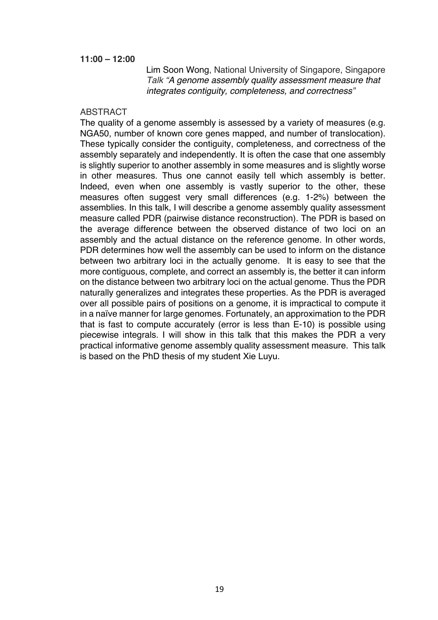### **11:00 – 12:00**

Lim Soon Wong, National University of Singapore, Singapore *Talk "A genome assembly quality assessment measure that integrates contiguity, completeness, and correctness"*

#### **ABSTRACT**

The quality of a genome assembly is assessed by a variety of measures (e.g. NGA50, number of known core genes mapped, and number of translocation). These typically consider the contiguity, completeness, and correctness of the assembly separately and independently. It is often the case that one assembly is slightly superior to another assembly in some measures and is slightly worse in other measures. Thus one cannot easily tell which assembly is better. Indeed, even when one assembly is vastly superior to the other, these measures often suggest very small differences (e.g. 1-2%) between the assemblies. In this talk, I will describe a genome assembly quality assessment measure called PDR (pairwise distance reconstruction). The PDR is based on the average difference between the observed distance of two loci on an assembly and the actual distance on the reference genome. In other words, PDR determines how well the assembly can be used to inform on the distance between two arbitrary loci in the actually genome. It is easy to see that the more contiguous, complete, and correct an assembly is, the better it can inform on the distance between two arbitrary loci on the actual genome. Thus the PDR naturally generalizes and integrates these properties. As the PDR is averaged over all possible pairs of positions on a genome, it is impractical to compute it in a naïve manner for large genomes. Fortunately, an approximation to the PDR that is fast to compute accurately (error is less than E-10) is possible using piecewise integrals. I will show in this talk that this makes the PDR a very practical informative genome assembly quality assessment measure. This talk is based on the PhD thesis of my student Xie Luyu.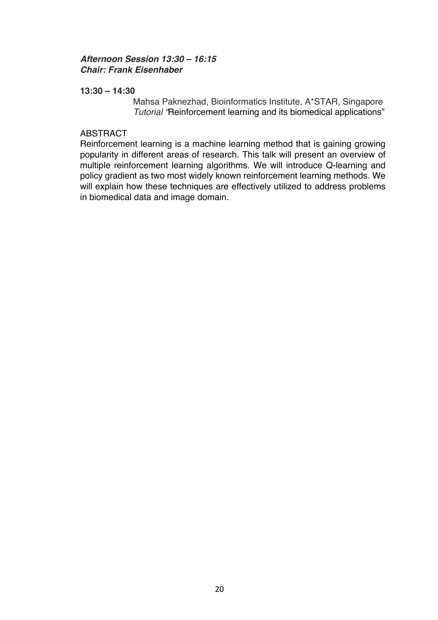# *Afternoon Session 13:30 – 16:15 Chair: Frank Eisenhaber*

## **13:30 – 14:30**

Mahsa Paknezhad, Bioinformatics Institute, A\*STAR, Singapore *Tutorial "*Reinforcement learning and its biomedical applications"

## ABSTRACT

Reinforcement learning is a machine learning method that is gaining growing popularity in different areas of research. This talk will present an overview of multiple reinforcement learning algorithms. We will introduce Q-learning and policy gradient as two most widely known reinforcement learning methods. We will explain how these techniques are effectively utilized to address problems in biomedical data and image domain.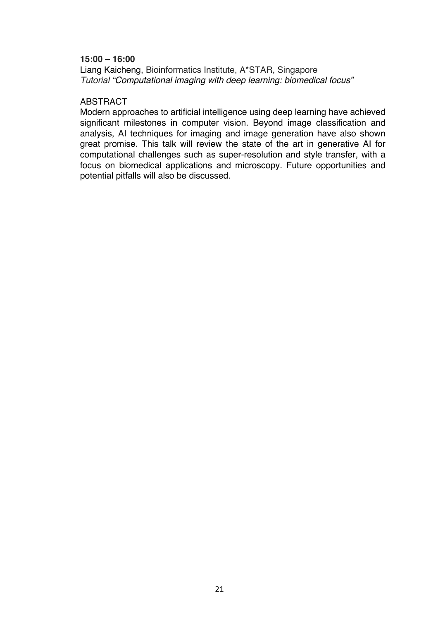Liang Kaicheng, Bioinformatics Institute, A\*STAR, Singapore *Tutorial "Computational imaging with deep learning: biomedical focus"*

### ABSTRACT

Modern approaches to artificial intelligence using deep learning have achieved significant milestones in computer vision. Beyond image classification and analysis, AI techniques for imaging and image generation have also shown great promise. This talk will review the state of the art in generative AI for computational challenges such as super-resolution and style transfer, with a focus on biomedical applications and microscopy. Future opportunities and potential pitfalls will also be discussed.